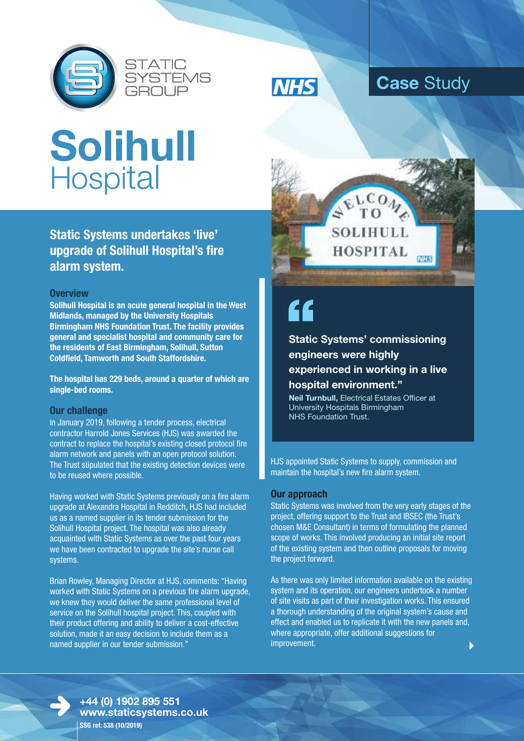





### **Case** Study

# **Solihull Hospital**

**Static Systems undertakes 'live' upgrade of Solihull Hospital's fire alarm system.**

#### **Overview**

**Solihull Hospital is an acute general hospital in the West Midlands, managed by the University Hospitals Birmingham NHS Foundation Trust. The facility provides general and specialist hospital and community care for the residents of East Birmingham, Solihull, Sutton Coldfield, Tamworth and South Staffordshire.** 

**The hospital has 229 beds, around a quarter of which are single-bed rooms.** 

### **Our challenge**

In January 2019, following a tender process, electrical contractor Harrold Jones Services (HJS) was awarded the contract to replace the hospital's existing closed protocol fire alarm network and panels with an open protocol solution. The Trust stipulated that the existing detection devices were to be reused where possible.

Having worked with Static Systems previously on a fire alarm upgrade at Alexandra Hospital in Redditch, HJS had included us as a named supplier in its tender submission for the Solihull Hospital project. The hospital was also already acquainted with Static Systems as over the past four years we have been contracted to upgrade the site's nurse call systems.

Brian Rowley, Managing Director at HJS, comments: "Having worked with Static Systems on a previous fire alarm upgrade, we knew they would deliver the same professional level of service on the Solihull hospital project. This, coupled with their product offering and ability to deliver a cost-effective solution, made it an easy decision to include them as a named supplier in our tender submission."



**Static Systems' commissioning " engineers were highly experienced in working in a live hospital environment."**

**Neil Turnbull,** Electrical Estates Officer at University Hospitals Birmingham NHS Foundation Trust.

HJS appointed Static Systems to supply, commission and maintain the hospital's new fire alarm system.

#### **Our approach**

Static Systems was involved from the very early stages of the project, offering support to the Trust and IBSEC (the Trust's chosen M&E Consultant) in terms of formulating the planned scope of works. This involved producing an initial site report of the existing system and then outline proposals for moving the project forward.

 $\blacktriangleright$ As there was only limited information available on the existing system and its operation, our engineers undertook a number of site visits as part of their investigation works. This ensured a thorough understanding of the original system's cause and effect and enabled us to replicate it with the new panels and, where appropriate, offer additional suggestions for improvement.



**+44 (0) 1902 895 551 www.staticsystems.co.uk SSG ref: 538 (10/2019)**